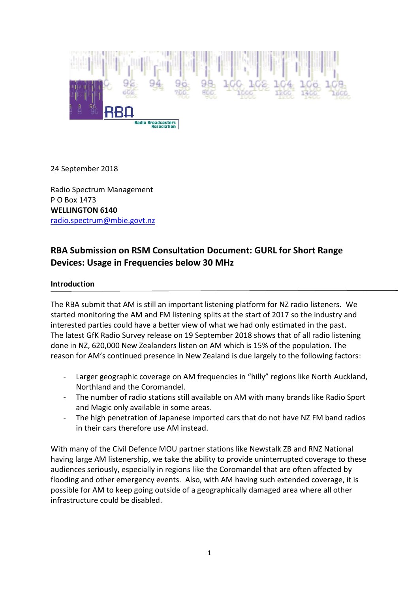

24 September 2018

Radio Spectrum Management<br>P O Box 1473 [radio.spectrum@mbie.govt.nz](mailto:radio.spectrum@mbie.govt.nz) **WELLINGTON 6140** 

# **RBA Submission on RSM Consultation Document: GURL for Short Range Devices: Usage in Frequencies below 30 MHz**

#### **Introduction**

 The RBA submit that AM is still an important listening platform for NZ radio listeners. We started monitoring the AM and FM listening splits at the start of 2017 so the industry and interested parties could have a better view of what we had only estimated in the past. The latest GfK Radio Survey release on 19 September 2018 shows that of all radio listening done in NZ, 620,000 New Zealanders listen on AM which is 15% of the population. The reason for AM's continued presence in New Zealand is due largely to the following factors:

- Larger geographic coverage on AM frequencies in "hilly" regions like North Auckland, Northland and the Coromandel.
- - The number of radio stations still available on AM with many brands like Radio Sport and Magic only available in some areas.
- - The high penetration of Japanese imported cars that do not have NZ FM band radios in their cars therefore use AM instead.

 With many of the Civil Defence MOU partner stations like Newstalk ZB and RNZ National having large AM listenership, we take the ability to provide uninterrupted coverage to these audiences seriously, especially in regions like the Coromandel that are often affected by flooding and other emergency events. Also, with AM having such extended coverage, it is possible for AM to keep going outside of a geographically damaged area where all other infrastructure could be disabled.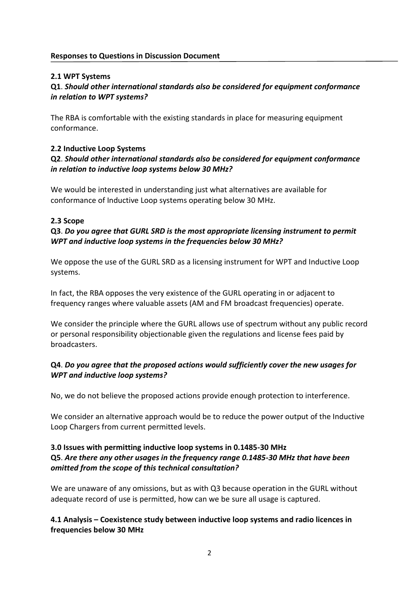## **2.1 WPT Systems**

# **Q1**. *Should other international standards also be considered for equipment conformance in relation to WPT systems?*

 The RBA is comfortable with the existing standards in place for measuring equipment conformance.

# **2.2 Inductive Loop Systems**

# **Q2**. *Should other international standards also be considered for equipment conformance in relation to inductive loop systems below 30 MHz?*

 We would be interested in understanding just what alternatives are available for conformance of Inductive Loop systems operating below 30 MHz.

#### **2.3 Scope**

# **Q3**. *Do you agree that GURL SRD is the most appropriate licensing instrument to permit WPT and inductive loop systems in the frequencies below 30 MHz?*

 We oppose the use of the GURL SRD as a licensing instrument for WPT and Inductive Loop systems.

 In fact, the RBA opposes the very existence of the GURL operating in or adjacent to frequency ranges where valuable assets (AM and FM broadcast frequencies) operate.

 We consider the principle where the GURL allows use of spectrum without any public record or personal responsibility objectionable given the regulations and license fees paid by broadcasters.

# **Q4**. *Do you agree that the proposed actions would sufficiently cover the new usages for WPT and inductive loop systems?*

No, we do not believe the proposed actions provide enough protection to interference.

 We consider an alternative approach would be to reduce the power output of the Inductive Loop Chargers from current permitted levels.

# **3.0 Issues with permitting inductive loop systems in 0.1485-30 MHz**   **Q5**. *Are there any other usages in the frequency range 0.1485-30 MHz that have been omitted from the scope of this technical consultation?*

 We are unaware of any omissions, but as with Q3 because operation in the GURL without adequate record of use is permitted, how can we be sure all usage is captured.

### **4.1 Analysis – Coexistence study between inductive loop systems and radio licences in frequencies below 30 MHz**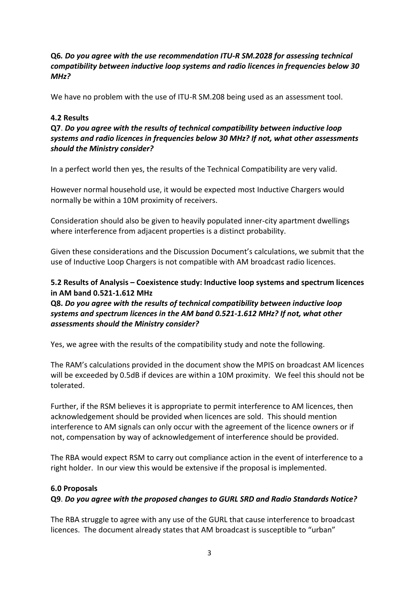## **Q6***. Do you agree with the use recommendation ITU-R SM.2028 for assessing technical compatibility between inductive loop systems and radio licences in frequencies below 30 MHz?*

We have no problem with the use of ITU-R SM.208 being used as an assessment tool.

## **4.2 Results**

 **Q7**. *Do you agree with the results of technical compatibility between inductive loop systems and radio licences in frequencies below 30 MHz? If not, what other assessments should the Ministry consider?* 

In a perfect world then yes, the results of the Technical Compatibility are very valid.

 However normal household use, it would be expected most Inductive Chargers would normally be within a 10M proximity of receivers.

 Consideration should also be given to heavily populated inner-city apartment dwellings where interference from adjacent properties is a distinct probability.

 Given these considerations and the Discussion Document's calculations, we submit that the use of Inductive Loop Chargers is not compatible with AM broadcast radio licences.

# **5.2 Results of Analysis – Coexistence study: Inductive loop systems and spectrum licences in AM band 0.521-1.612 MHz**

 **Q8.** *Do you agree with the results of technical compatibility between inductive loop systems and spectrum licences in the AM band 0.521-1.612 MHz? If not, what other assessments should the Ministry consider?* 

Yes, we agree with the results of the compatibility study and note the following.

The RAM's calculations provided in the document show the MPIS on broadcast AM licences will be exceeded by 0.5dB if devices are within a 10M proximity. We feel this should not be tolerated.

 Further, if the RSM believes it is appropriate to permit interference to AM licences, then acknowledgement should be provided when licences are sold. This should mention interference to AM signals can only occur with the agreement of the licence owners or if not, compensation by way of acknowledgement of interference should be provided.

 The RBA would expect RSM to carry out compliance action in the event of interference to a right holder. In our view this would be extensive if the proposal is implemented.

#### **6.0 Proposals**

#### **Q9**. *Do you agree with the proposed changes to GURL SRD and Radio Standards Notice?*

 The RBA struggle to agree with any use of the GURL that cause interference to broadcast licences. The document already states that AM broadcast is susceptible to "urban"